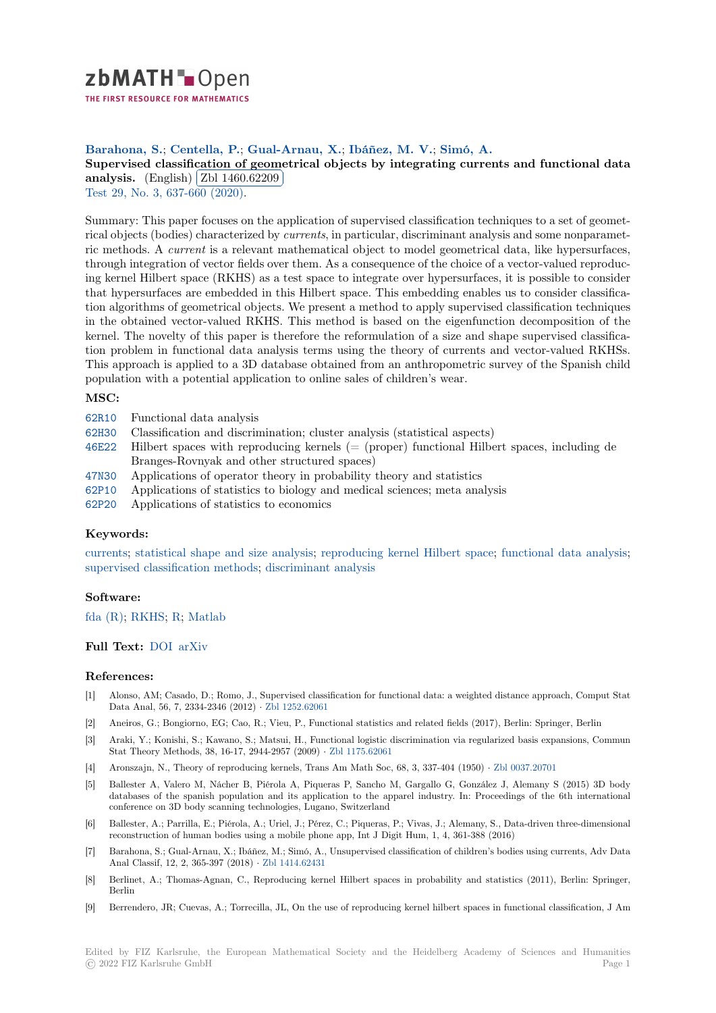

THE FIRST RESOURCE FOR MATHEMATICS

## **Barahona, S.**; **Centella, P.**; **Gual-Arnau, X.**; **Ibáñez, M. V.**; **Simó, A.**

[S](https://zbmath.org/)upervised classification of geometrical objects by integrating currents and functional data supervised classification of geon<br>analysis. (English) Zbl 1460.62209 Į.

Test 29, No. 3, 637-660 (2020).

[Summary: This paper focuses on the application of supervised classification techniques to a set of geomet](https://zbmath.org/1460.62209)[rical objec](https://zbmath.org/1460.62209)ts (bodies) [characterized by](https://zbmath.org/1460.62209) *currents*, in particular, discriminant analysis and some nonparamet[ric m](https://zbmath.org/journals/?q=se:1837)[ethods. A](https://zbmath.org/?q=in:457517) *current* is a relevant mathematical object to model geometrical data, like hypersurfaces, through integration of vector fields over them. As a consequence of the choice of a vector-valued reproducing kernel Hilbert space (RKHS) as a test space to integrate over hypersurfaces, it is possible to consider that hypersurfaces are embedded in this Hilbert space. This embedding enables us to consider classification algorithms of geometrical objects. We present a method to apply supervised classification techniques in the obtained vector-valued RKHS. This method is based on the eigenfunction decomposition of the kernel. The novelty of this paper is therefore the reformulation of a size and shape supervised classification problem in functional data analysis terms using the theory of currents and vector-valued RKHSs. This approach is applied to a 3D database obtained from an anthropometric survey of the Spanish child population with a potential application to online sales of children's wear.

# **MSC:**

- 62R10 Functional data analysis
- 62H30 Classification and discrimination; cluster analysis (statistical aspects)
- 46E22 Hilbert spaces with reproducing kernels (= (proper) functional Hilbert spaces, including de Branges-Rovnyak and other structured spaces)
- [47N30](https://zbmath.org/classification/?q=cc:62R10) Applications of operator theory in probability theory and statistics
- [62P10](https://zbmath.org/classification/?q=cc:62H30) Applications of statistics to biology and medical sciences; meta analysis
- [62P20](https://zbmath.org/classification/?q=cc:46E22) Applications of statistics to economics

#### **[Keyw](https://zbmath.org/classification/?q=cc:47N30)ords:**

[curren](https://zbmath.org/classification/?q=cc:62P10)ts; statistical shape and size analysis; reproducing kernel Hilbert space; functional data analysis; [superv](https://zbmath.org/classification/?q=cc:62P20)ised classification methods; discriminant analysis

### **Software:**

[fda \(R\);](https://zbmath.org/?q=ut:currents) RKHS; R; [Matlab](https://zbmath.org/?q=ut:statistical+shape+and+size+analysis)

## **Full Text:** DOI arXiv

#### **[Refere](https://swmath.org/software/4511)[nces:](https://swmath.org/software/3078)**

- [1] Alonso, AM; Casado, D.; Romo, J., Supervised classification for functional data: a weighted distance approach, Comput Stat Data Ana[l, 56,](https://dx.doi.org/10.1007/s11749-019-00669-z) [7, 2334-2](https://arxiv.org/abs/1707.02147)346 (2012) *·* Zbl 1252.62061
- [2] Aneiros, G.; Bongiorno, EG; Cao, R.; Vieu, P., Functional statistics and related fields (2017), Berlin: Springer, Berlin
- [3] Araki, Y.; Konishi, S.; Kawano, S.; Matsui, H., Functional logistic discrimination via regularized basis expansions, Commun Stat Theory Methods, 38, 16-17, 2944-2957 (2009) *·* Zbl 1175.62061
- [4] Aronszajn, N., Theory of reproducin[g kernels, Trans](https://zbmath.org/1252.62061) Am Math Soc, 68, 3, 337-404 (1950) *·* Zbl 0037.20701
- [5] Ballester A, Valero M, Nácher B, Piérola A, Piqueras P, Sancho M, Gargallo G, González J, Alemany S (2015) 3D body databases of the spanish population and its application to the apparel industry. In: Proceedings of the 6th international conference on 3D body scanning technologies, Luga[no, Switzerland](https://zbmath.org/1175.62061)
- [6] Ballester, A.; Parrilla, E.; Piérola, A.; Uriel, J.; Pérez, C.; Piqueras, P.; Vivas, J.; Alemany, [S., Data-driven t](https://zbmath.org/0037.20701)hree-dimensional reconstruction of human bodies using a mobile phone app, Int J Digit Hum, 1, 4, 361-388 (2016)
- [7] Barahona, S.; Gual-Arnau, X.; Ibáñez, M.; Simó, A., Unsupervised classification of children's bodies using currents, Adv Data Anal Classif, 12, 2, 365-397 (2018) *·* Zbl 1414.62431
- [8] Berlinet, A.; Thomas-Agnan, C., Reproducing kernel Hilbert spaces in probability and statistics (2011), Berlin: Springer, Berlin
- [9] Berrendero, JR; Cuevas, A.; Torrecilla, JL, On the use of reproducing kernel hilbert spaces in functional classification, J Am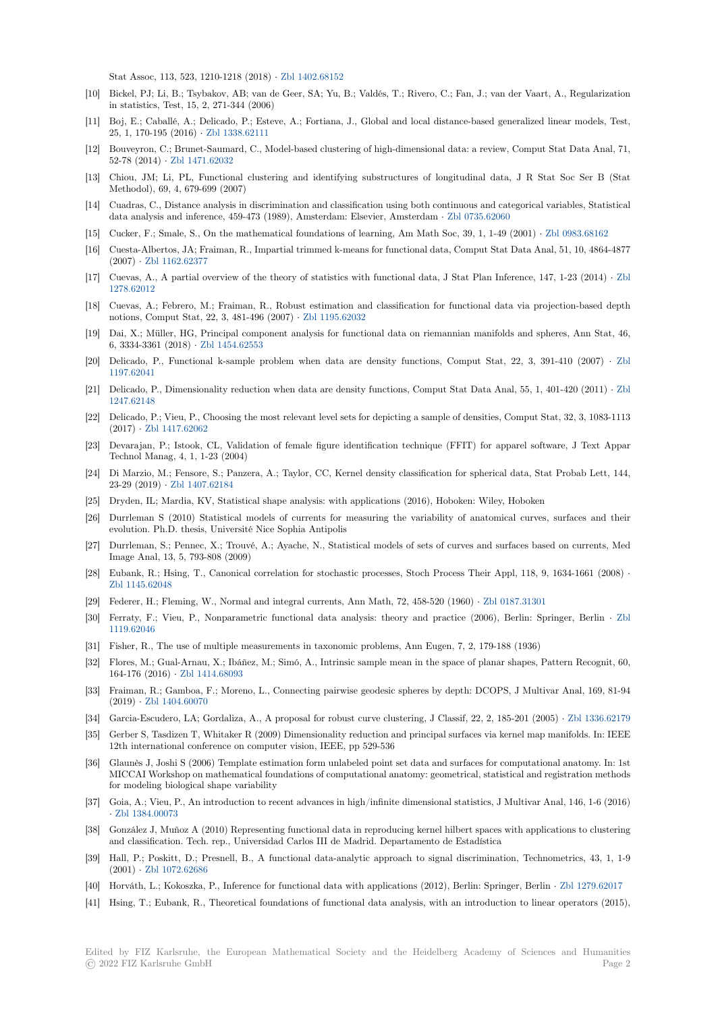Stat Assoc, 113, 523, 1210-1218 (2018) *·* Zbl 1402.68152

- [10] Bickel, PJ; Li, B.; Tsybakov, AB; van de Geer, SA; Yu, B.; Valdés, T.; Rivero, C.; Fan, J.; van der Vaart, A., Regularization in statistics, Test, 15, 2, 271-344 (2006)
- [11] Boj, E.; Caballé, A.; Delicado, P.; Esteve, A.; Fortiana, J., Global and local distance-based generalized linear models, Test, 25, 1, 170-195 (2016) *·* Zbl 1338.62111
- [12] Bouveyron, C.; Brunet-Saumard, C., Model-based clustering of high-dimensional data: a review, Comput Stat Data Anal, 71, 52-78 (2014) *·* Zbl 1471.62032
- [13] Chiou, JM; Li, PL, Functional clustering and identifying substructures of longitudinal data, J R Stat Soc Ser B (Stat Methodol), 69, 4, 679-[699 \(2007\)](https://zbmath.org/1338.62111)
- [14] Cuadras, C., Distance analysis in discrimination and classification using both continuous and categorical variables, Statistical data analysis [and inference, 45](https://zbmath.org/1471.62032)9-473 (1989), Amsterdam: Elsevier, Amsterdam *·* Zbl 0735.62060
- [15] Cucker, F.; Smale, S., On the mathematical foundations of learning, Am Math Soc, 39, 1, 1-49 (2001) *·* Zbl 0983.68162
- [16] Cuesta-Albertos, JA; Fraiman, R., Impartial trimmed k-means for functional data, Comput Stat Data Anal, 51, 10, 4864-4877 (2007) *·* Zbl 1162.62377
- [17] Cuevas, A., A partial overview of the theory of statistics with functional data, [J Stat Plan Infe](https://zbmath.org/0735.62060)rence, 147, 1-23 (2014) *·* Zbl 1278.62012
- [18] Cuevas, A.; Febrero, M.; Fraiman, R., Robust estimation and classification for functional data via projection-based depth notions, [Comput Stat, 2](https://zbmath.org/1162.62377)2, 3, 481-496 (2007) *·* Zbl 1195.62032
- [19] Dai, X.; Müller, HG, Principal component analysis for functional data on riemannian manifolds and spheres, Ann Stat, [46,](https://zbmath.org/1278.62012) [6, 3334-336](https://zbmath.org/1278.62012)1 (2018) *·* Zbl 1454.62553
- [20] Delicado, P., Functional k-sample problem when data are density functions, Comput Stat, 22, 3, 391-410 (2007) *·* Zbl 1197.62041
- [21] Delicado, P., Dimensionality reduction when data are density functions, Comput Stat Data Anal, 55, 1, 401-420 (2011) *·* Zbl 1247.62148
- [22] Delicado, P.; Vieu, P., Choosing the most relevant level sets for depicting a sample of densities, Comput Stat, 32, 3, 1083-1[113](https://zbmath.org/1197.62041) [\(2017\)](https://zbmath.org/1197.62041) *·* Zbl 1417.62062
- [23] Devarajan, P.; Istook, CL, Validation of female figure identification technique (FFIT) for apparel software, J Text Ap[par](https://zbmath.org/1247.62148) [Technol Ma](https://zbmath.org/1247.62148)nag, 4, 1, 1-23 (2004)
- [24] Di Marzio, M.; Fensore, S.; Panzera, A.; Taylor, CC, Kernel density classification for spherical data, Stat Probab Lett, 144, 23-29 (2019) *·* [Zbl 1407.](https://zbmath.org/1417.62062)62184
- [25] Dryden, IL; Mardia, KV, Statistical shape analysis: with applications (2016), Hoboken: Wiley, Hoboken
- [26] Durrleman S (2010) Statistical models of currents for measuring the variability of anatomical curves, surfaces and their evolution. Ph.D. thesis, Université Nice Sophia Antipolis
- [27] Durrleman, S.[; Pennec, X.; Tr](https://zbmath.org/1407.62184)ouvé, A.; Ayache, N., Statistical models of sets of curves and surfaces based on currents, Med Image Anal, 13, 5, 793-808 (2009)
- [28] Eubank, R.; Hsing, T., Canonical correlation for stochastic processes, Stoch Process Their Appl, 118, 9, 1634-1661 (2008) *·* Zbl 1145.62048
- [29] Federer, H.; Fleming, W., Normal and integral currents, Ann Math, 72, 458-520 (1960) *·* Zbl 0187.31301
- [30] Ferraty, F.; Vieu, P., Nonparametric functional data analysis: theory and practice (2006), Berlin: Springer, Berlin *·* Zbl 1119.62046
- [31] [Fisher, R., The](https://zbmath.org/1145.62048) use of multiple measurements in taxonomic problems, Ann Eugen, 7, 2, 179-188 (1936)
- [32] Flores, M.; Gual-Arnau, X.; Ibáñez, M.; Simó, A., Intrinsic sample mean in the space of [planar shapes, P](https://zbmath.org/0187.31301)attern Recognit, 60, 164-176 (2016) *·* Zbl 1414.68093
- [33] [Fraiman, R](https://zbmath.org/1119.62046).; Gamboa, F.; Moreno, L., Connecting pairwise geodesic spheres by depth: DCOPS, J Multivar Anal, 169, 81-94 (2019) *·* Zbl 1404.60070
- [34] Garcia-Escudero, LA; Gordaliza, A., A proposal for robust curve clustering, J Classif, 22, 2, 185-201 (2005) *·* Zbl 1336.62179
- [35] Gerber S, Tasdiz[en T, Whitaker](https://zbmath.org/1414.68093) R (2009) Dimensionality reduction and principal surfaces via kernel map manifolds. In: IEEE 12th international conference on computer vision, IEEE, pp 529-536
- [36] Glaunès [J, Joshi S \(2006](https://zbmath.org/1404.60070)) Template estimation form unlabeled point set data and surfaces for computational anatomy. In: 1st MICCAI Workshop on mathematical foundations of computational anatomy: geometrical, statistical and regis[tration methods](https://zbmath.org/1336.62179) for modeling biological shape variability
- [37] Goia, A.; Vieu, P., An introduction to recent advances in high/infinite dimensional statistics, J Multivar Anal, 146, 1-6 (2016) *·* Zbl 1384.00073
- [38] González J, Muñoz A (2010) Representing functional data in reproducing kernel hilbert spaces with applications to clustering and classification. Tech. rep., Universidad Carlos III de Madrid. Departamento de Estadística
- [39] Hall, P.; Poskitt, D.; Presnell, B., A functional data-analytic approach to signal discrimination, Technometrics, 43, 1, 1-9 (2001) *·* [Zbl 1072](https://zbmath.org/1384.00073).62686
- [40] Horváth, L.; Kokoszka, P., Inference for functional data with applications (2012), Berlin: Springer, Berlin *·* Zbl 1279.62017
- [41] Hsing, T.; Eubank, R., Theoretical foundations of functional data analysis, with an introduction to linear operators (2015),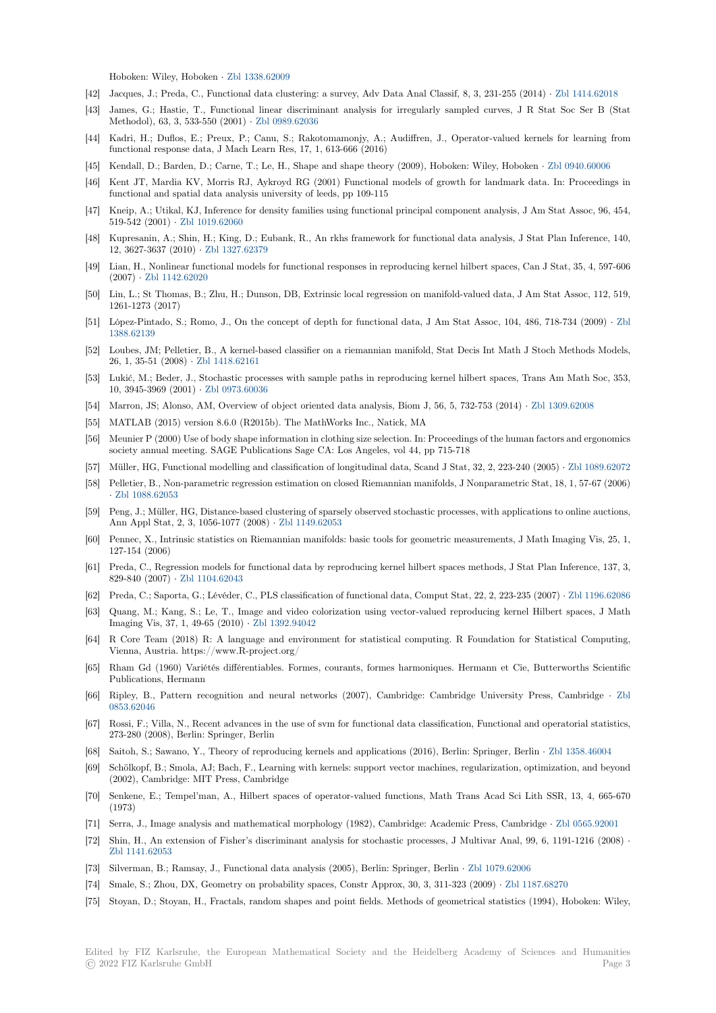Hoboken: Wiley, Hoboken *·* Zbl 1338.62009

- [42] Jacques, J.; Preda, C., Functional data clustering: a survey, Adv Data Anal Classif, 8, 3, 231-255 (2014) *·* Zbl 1414.62018
- [43] James, G.; Hastie, T., Functional linear discriminant analysis for irregularly sampled curves, J R Stat Soc Ser B (Stat Methodol), 63, 3, 533-550 (2001) *·* Zbl 0989.62036
- [44] Kadri, H.; Duflos, E.; Preu[x, P.; Canu, S.](https://zbmath.org/1338.62009); Rakotomamonjy, A.; Audiffren, J., Operator-valued kernels for learning from functional response data, J Mach Learn Res, 17, 1, 613-666 (2016)
- [45] Kendall, D.; Barden, D.; Carne, T.; Le, H., Shape and shape theory (2009), Hoboken: Wiley, Hoboken *·* Zbl 0940.60006
- [46] Kent JT, Mardia KV, Morris RJ, [Aykroyd RG \(2](https://zbmath.org/0989.62036)001) Functional models of growth for landmark data. In: Proceedings in functional and spatial data analysis university of leeds, pp 109-115
- [47] Kneip, A.; Utikal, KJ, Inference for density families using functional principal component analysis, J Am Stat Assoc, 96, 454, 519-542 (2001) *·* Zbl 1019.62060
- [48] Kupresanin, A.; Shin, H.; King, D.; Eubank, R., An rkhs framework for functional data analysis, J Stat Plan Inference, 140, 12, 3627-3637 (2010) *·* Zbl 1327.62379
- [49] Lian, H., Nonlinear functional models for functional responses in reproducing kernel hilbert spaces, Can J Stat, 35, 4, 597-606 (2007) *·* Zbl 114[2.62020](https://zbmath.org/1019.62060)
- [50] Lin, L.; St Thomas, B.; Zhu, H.; Dunson, DB, Extrinsic local regression on manifold-valued data, J Am Stat Assoc, 112, 519, 1261-1273 (2017)
- [51] López-Pintado, S.; Romo, J., On the concept of depth for functional data, J Am Stat Assoc, 104, 486, 718-734 (2009) *·* Zbl 1388.621[39](https://zbmath.org/1142.62020)
- [52] Loubes, JM; Pelletier, B., A kernel-based classifier on a riemannian manifold, Stat Decis Int Math J Stoch Methods Models, 26, 1, 35-51 (2008) *·* Zbl 1418.62161
- [53] Lukić, M.; Beder, J., Stochastic processes with sample paths in reproducing kernel hilbert spaces, Trans Am Math Soc, [353,](https://zbmath.org/1388.62139) [10, 3945-39](https://zbmath.org/1388.62139)69 (2001) *·* Zbl 0973.60036
- [54] Marron, JS; Alonso, AM, Overview of object oriented data analysis, Biom J, 56, 5, 732-753 (2014) *·* Zbl 1309.62008
- [55] MATLAB (2015) ver[sion 8.6.0 \(R20](https://zbmath.org/1418.62161)15b). The MathWorks Inc., Natick, MA
- [56] Meunier P (2000) Use of body shape information in clothing size selection. In: Proceedings of the human factors and ergonomics society annual meeting[. SAGE Publica](https://zbmath.org/0973.60036)tions Sage CA: Los Angeles, vol 44, pp 715-718
- [57] Müller, HG, Functional modelling and classification of longitudinal data, Scand J Stat, 32, 2, 223-240 [\(2005\)](https://zbmath.org/1309.62008) *·* Zbl 1089.62072
- [58] Pelletier, B., Non-parametric regression estimation on closed Riemannian manifolds, J Nonparametric Stat, 18, 1, 57-67 (2006) *·* Zbl 1088.62053
- [59] Peng, J.; Müller, HG, Distance-based clustering of sparsely observed stochastic processes, with applications to online auctions, Ann Appl Stat, 2, 3, 1056-1077 (2008) *·* Zbl 1149.62053
- [60] Pennec, X., Intrinsic statistics on Riemannian manifolds: basic tools for geometric measurements, J Math Imaging Vis, 25, 1, 1[27-154 \(2006\)](https://zbmath.org/1088.62053)
- [61] Preda, C., Regression models for functional data by reproducing kernel hilbert spaces methods, J Stat Plan Inference, 137, 3, 829-840 (2007) *·* Zbl 1104.62043
- [62] Preda, C.; Saporta, G.; Lévéder, C., PLS classification of functional data, Comput Stat, 22, 2, 223-235 (2007) *·* Zbl 1196.62086
- [63] Quang, M.; Kang, S.; Le, T., Image and video colorization using vector-valued reproducing kernel Hilbert spaces, J Math Imaging Vis, 37, 1, 49-65 (2010) *·* Zbl 1392.94042
- [64] R Core Team (2[018\) R: A lang](https://zbmath.org/1104.62043)uage and environment for statistical computing. R Foundation for Statistical Computing, Vienna, Austria. https://www.R-project.org/
- [65] Rham Gd (1960) Variétés différentiables. Formes, courants, formes harmoniques. Hermann et Cie, Butterworths Scientific Publications, Hermann
- [66] Ripley, B., Pattern recognition and neural networks (2007), Cambridge: Cambridge University Press, Cambridge *·* Zbl 0853.62046
- [67] Rossi, F.; Villa, N., Recent advances in the use of svm for functional data classification, Functional and operatorial statistics, 273-280 (2008), Berlin: Springer, Berlin
- [68] Saitoh, S.; Sawano, Y., Theory of reproducing kernels and applications (2016), Berlin: Springer, Berlin *·* Zbl 1358.46004
- [69] [Schölkopf, B](https://zbmath.org/0853.62046).; Smola, AJ; Bach, F., Learning with kernels: support vector machines, regularization, optimization, and beyond (2002), Cambridge: MIT Press, Cambridge
- [70] Senkene, E.; Tempel'man, A., Hilbert spaces of operator-valued functions, Math Trans Acad Sci Lith SSR, 13, 4, 665-670 (1973)
- [71] Serra, J., Image analysis and mathematical morphology (1982), Cambridge: Academic Press, Cambridge *·* Zbl 0565.92001
- [72] Shin, H., An extension of Fisher's discriminant analysis for stochastic processes, J Multivar Anal, 99, 6, 1191-1216 (2008) *·* Zbl 1141.62053
- [73] Silverman, B.; Ramsay, J., Functional data analysis (2005), Berlin: Springer, Berlin *·* Zbl 1079.62006
- [74] Smale, S.; Zhou, DX, Geometry on probability spaces, Constr Approx, 30, 3, 311-323 (2009) *·* Zbl 1187.68[270](https://zbmath.org/0565.92001)
- [75] [Stoyan, D.; Sto](https://zbmath.org/1141.62053)yan, H., Fractals, random shapes and point fields. Methods of geometrical statistics (1994), Hoboken: Wiley,